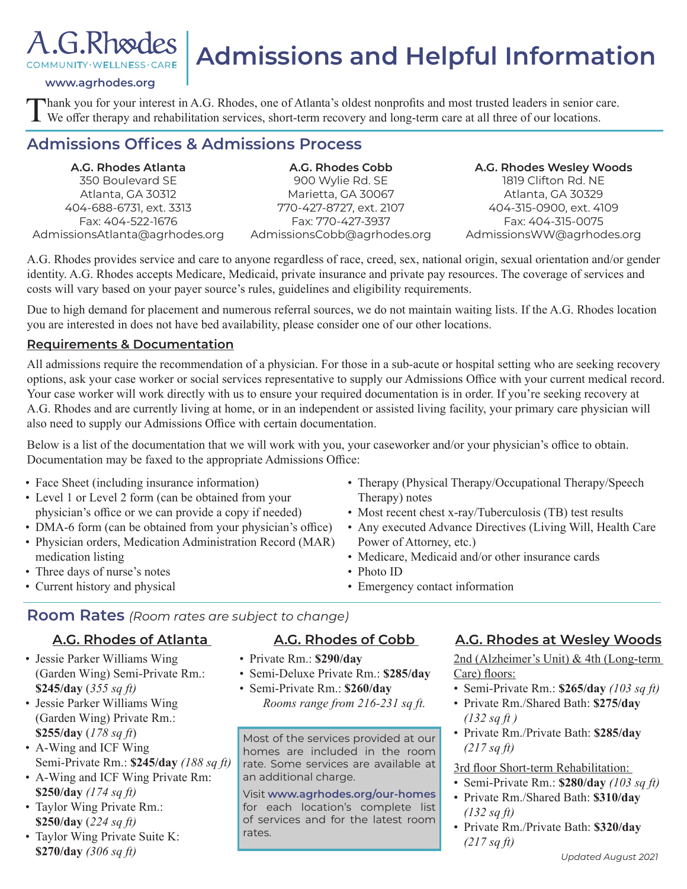

# **Admissions and Helpful Information**

**www.agrhodes.org**

Thank you for your interest in A.G. Rhodes, one of Atlanta's oldest nonprofits and most trusted leaders in senior care.<br>We offer therapy and rehabilitation services, short-term recovery and long-term care at all three of o

### **Admissions Offices & Admissions Process**

**A.G. Rhodes Atlanta**  350 Boulevard SE Atlanta, GA 30312 404-688-6731, ext. 3313 Fax: 404-522-1676 AdmissionsAtlanta@agrhodes.org

**A.G. Rhodes Cobb**  900 Wylie Rd. SE Marietta, GA 30067 770-427-8727, ext. 2107 Fax: 770-427-3937 AdmissionsCobb@agrhodes.org

**A.G. Rhodes Wesley Woods** 1819 Clifton Rd. NE Atlanta, GA 30329 404-315-0900, ext. 4109 Fax: 404-315-0075 AdmissionsWW@agrhodes.org

A.G. Rhodes provides service and care to anyone regardless of race, creed, sex, national origin, sexual orientation and/or gender identity. A.G. Rhodes accepts Medicare, Medicaid, private insurance and private pay resources. The coverage of services and costs will vary based on your payer source's rules, guidelines and eligibility requirements.

Due to high demand for placement and numerous referral sources, we do not maintain waiting lists. If the A.G. Rhodes location you are interested in does not have bed availability, please consider one of our other locations.

#### **Requirements & Documentation**

All admissions require the recommendation of a physician. For those in a sub-acute or hospital setting who are seeking recovery options, ask your case worker or social services representative to supply our Admissions Office with your current medical record. Your case worker will work directly with us to ensure your required documentation is in order. If you're seeking recovery at A.G. Rhodes and are currently living at home, or in an independent or assisted living facility, your primary care physician will also need to supply our Admissions Office with certain documentation.

Below is a list of the documentation that we will work with you, your caseworker and/or your physician's office to obtain. Documentation may be faxed to the appropriate Admissions Office:

- Face Sheet (including insurance information)
- Level 1 or Level 2 form (can be obtained from your physician's office or we can provide a copy if needed)
- DMA-6 form (can be obtained from your physician's office)
- Physician orders, Medication Administration Record (MAR) medication listing
- Three days of nurse's notes
- Current history and physical
- Therapy (Physical Therapy/Occupational Therapy/Speech Therapy) notes
- Most recent chest x-ray/Tuberculosis (TB) test results
- Any executed Advance Directives (Living Will, Health Care Power of Attorney, etc.)
- Medicare, Medicaid and/or other insurance cards
- Photo ID
- Emergency contact information

#### **Room Rates** *(Room rates are subject to change)*

#### **A.G. Rhodes of Atlanta**

- Jessie Parker Williams Wing (Garden Wing) Semi-Private Rm.: **\$245/day** (*355 sq ft)*
- Jessie Parker Williams Wing (Garden Wing) Private Rm.: **\$255/day** (*178 sq ft*)
- A-Wing and ICF Wing Semi-Private Rm.: **\$245/day** *(188 sq ft)*
- A-Wing and ICF Wing Private Rm: **\$250/day** *(174 sq ft)*
- Taylor Wing Private Rm.: **\$250/day** (*224 sq ft)*
- Taylor Wing Private Suite K: **\$270/day** *(306 sq ft)*

#### **A.G. Rhodes of Cobb**

- Private Rm.: **\$290/day**
- Semi-Deluxe Private Rm.: **\$285/day**
- Semi-Private Rm.: **\$260/day** *Rooms range from 216-231 sq ft.*

Most of the services provided at our homes are included in the room rate. Some services are available at an additional charge.

Visit **www.agrhodes.org/our-homes**  for each location's complete list of services and for the latest room rates.

#### **A.G. Rhodes at Wesley Woods**

2nd (Alzheimer's Unit) & 4th (Long-term Care) floors:

- Semi-Private Rm.: **\$265/day** *(103 sq ft)*
- Private Rm./Shared Bath: **\$275/day** *(132 sq ft )*
- Private Rm./Private Bath: **\$285/day** *(217 sq ft)*

#### 3rd floor Short-term Rehabilitation:

- Semi-Private Rm.: **\$280/day** *(103 sq ft)*
- Private Rm./Shared Bath: **\$310/day** *(132 sq ft)*
- Private Rm./Private Bath: **\$320/day** *(217 sq ft)*